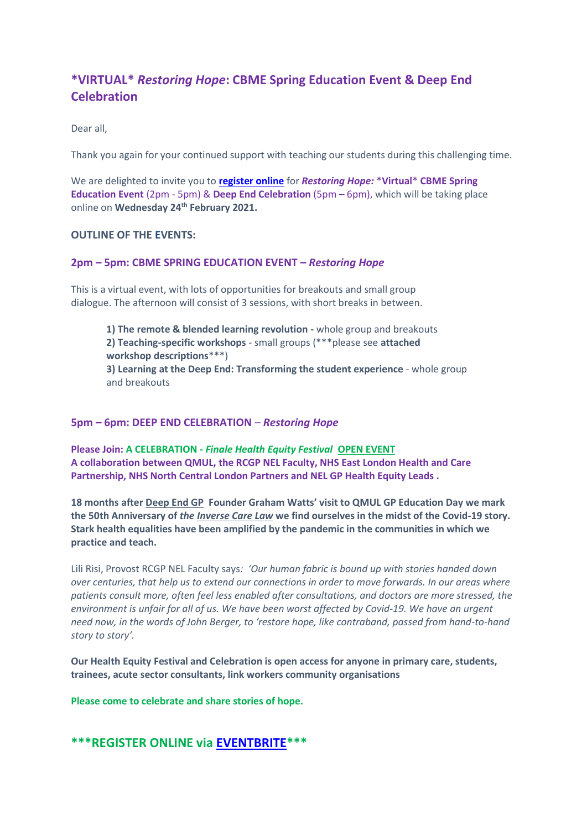# **\*VIRTUAL\*** *Restoring Hope***: CBME Spring Education Event & Deep End Celebration**

Dear all,

Thank you again for your continued support with teaching our students during this challenging time.

We are delighted to invite you to **[register online](https://2020-21-virtual-cbme-spring-edu-and-deep-end.eventbrite.co.uk/)** for *Restoring Hope:* \***Virtual**\* **CBME Spring Education Event** (2pm - 5pm) & **Deep End Celebration** (5pm – 6pm), which will be taking place online on **Wednesday 24th February 2021.**

#### **OUTLINE OF THE EVENTS:**

#### **2pm – 5pm: CBME SPRING EDUCATION EVENT –** *Restoring Hope*

This is a virtual event, with lots of opportunities for breakouts and small group dialogue. The afternoon will consist of 3 sessions, with short breaks in between.

**1) The remote & blended learning revolution -** whole group and breakouts **2) Teaching-specific workshops** - small groups (\*\*\*please see **attached workshop descriptions**\*\*\*) **3) Learning at the Deep End: Transforming the student experience** - whole group and breakouts

#### **5pm – 6pm: DEEP END CELEBRATION** *– Restoring Hope*

**Please Join: A CELEBRATION -** *Finale Health Equity Festival* **OPEN EVENT A collaboration between QMUL, the RCGP NEL Faculty, NHS East London Health and Care Partnership, NHS North Central London Partners and NEL GP Health Equity Leads .**

**18 months after Deep End GP Founder Graham Watts' visit to QMUL GP Education Day we mark the 50th Anniversary of** *the Inverse Care Law* **we find ourselves in the midst of the Covid-19 story. Stark health equalities have been amplified by the pandemic in the communities in which we practice and teach.** 

Lili Risi, Provost RCGP NEL Faculty says*: 'Our human fabric is bound up with stories handed down over centuries, that help us to extend our connections in order to move forwards. In our areas where patients consult more, often feel less enabled after consultations, and doctors are more stressed, the environment is unfair for all of us. We have been worst affected by Covid-19. We have an urgent need now, in the words of John Berger, to 'restore hope, like contraband, passed from hand-to-hand story to story'.* 

**Our Health Equity Festival and Celebration is open access for anyone in primary care, students, trainees, acute sector consultants, link workers community organisations** 

**Please come to celebrate and share stories of hope.**

## **\*\*\*REGISTER ONLINE via [EVENTBRITE\\*](https://2020-21-virtual-cbme-spring-edu-and-deep-end.eventbrite.co.uk/)\*\***